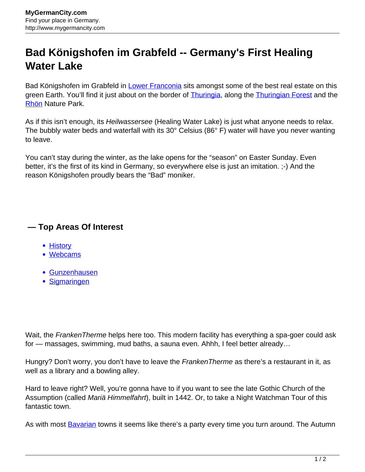## **Bad Königshofen im Grabfeld -- Germany's First Healing Water Lake**

Bad Königshofen im Grabfeld in [Lower Franconia](http://www.mygermancity.com/lower-franconia) sits amongst some of the best real estate on this green Earth. You'll find it just about on the border of **Thuringia**, along the **Thuringian Forest** and the [Rhön](http://www.mygermancity.com/rhoen) Nature Park.

As if this isn't enough, its Heilwassersee (Healing Water Lake) is just what anyone needs to relax. The bubbly water beds and waterfall with its 30° Celsius (86° F) water will have you never wanting to leave.

You can't stay during the winter, as the lake opens for the "season" on Easter Sunday. Even better, it's the first of its kind in Germany, so everywhere else is just an imitation. ;-) And the reason Königshofen proudly bears the "Bad" moniker.

## **— Top Areas Of Interest**

- **[History](http://www.mygermancity.com/leipzig-history)**
- [Webcams](http://www.mygermancity.com/neustadt-holstein-webcams)
- [Gunzenhausen](http://www.mygermancity.com/gunzenhausen)
- [Sigmaringen](http://www.mygermancity.com/sigmaringen)

Wait, the FrankenTherme helps here too. This modern facility has everything a spa-goer could ask for — massages, swimming, mud baths, a sauna even. Ahhh, I feel better already…

Hungry? Don't worry, you don't have to leave the FrankenTherme as there's a restaurant in it, as well as a library and a bowling alley.

Hard to leave right? Well, you're gonna have to if you want to see the late Gothic Church of the Assumption (called Mariä Himmelfahrt), built in 1442. Or, to take a Night Watchman Tour of this fantastic town.

As with most **Bayarian** towns it seems like there's a party every time you turn around. The Autumn